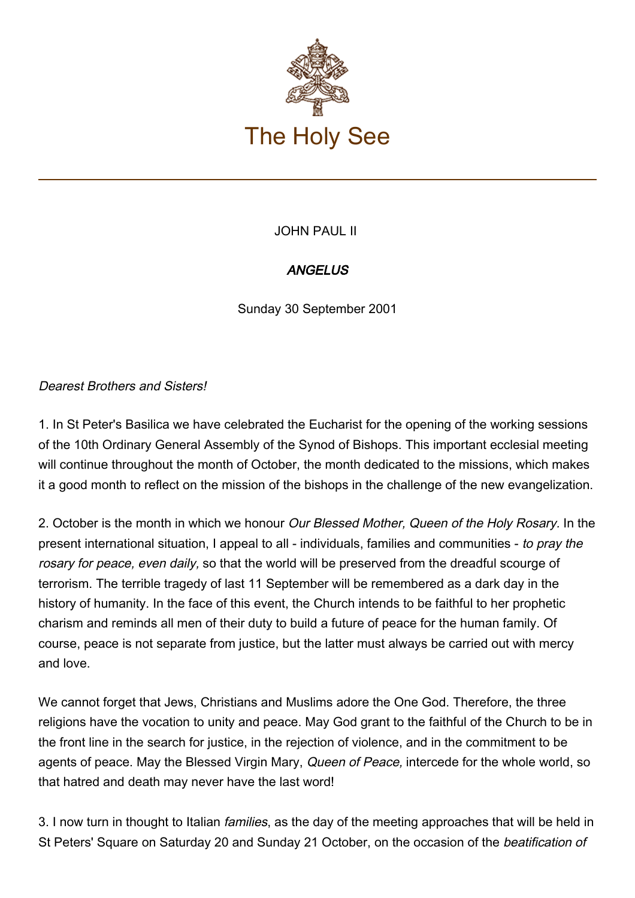

## JOHN PAUL II

## **ANGELUS**

Sunday 30 September 2001

## Dearest Brothers and Sisters!

1. In St Peter's Basilica we have celebrated the Eucharist for the opening of the working sessions of the 10th Ordinary General Assembly of the Synod of Bishops. This important ecclesial meeting will continue throughout the month of October, the month dedicated to the missions, which makes it a good month to reflect on the mission of the bishops in the challenge of the new evangelization.

2. October is the month in which we honour *Our Blessed Mother, Queen of the Holy Rosary*. In the present international situation, I appeal to all - individuals, families and communities - to pray the rosary for peace, even daily, so that the world will be preserved from the dreadful scourge of terrorism. The terrible tragedy of last 11 September will be remembered as a dark day in the history of humanity. In the face of this event, the Church intends to be faithful to her prophetic charism and reminds all men of their duty to build a future of peace for the human family. Of course, peace is not separate from justice, but the latter must always be carried out with mercy and love.

We cannot forget that Jews, Christians and Muslims adore the One God. Therefore, the three religions have the vocation to unity and peace. May God grant to the faithful of the Church to be in the front line in the search for justice, in the rejection of violence, and in the commitment to be agents of peace. May the Blessed Virgin Mary, Queen of Peace, intercede for the whole world, so that hatred and death may never have the last word!

3. I now turn in thought to Italian families, as the day of the meeting approaches that will be held in St Peters' Square on Saturday 20 and Sunday 21 October, on the occasion of the beatification of